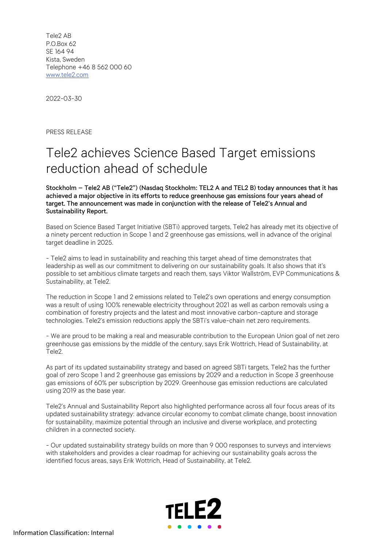Tele2 AB P.O.Box 62 SE 164 94 Kista, Sweden Telephone +46 8 562 000 60 www.tele2.com

2022-03-30

PRESS RELEASE

## Tele2 achieves Science Based Target emissions reduction ahead of schedule

Stockholm – Tele2 AB ("Tele2") (Nasdaq Stockholm: TEL2 A and TEL2 B) today announces that it has achieved a major objective in its efforts to reduce greenhouse gas emissions four years ahead of target. The announcement was made in conjunction with the release of Tele2's Annual and Sustainability Report.

Based on Science Based Target Initiative (SBTi) approved targets, Tele2 has already met its objective of a ninety percent reduction in Scope 1 and 2 greenhouse gas emissions, well in advance of the original target deadline in 2025.

- Tele2 aims to lead in sustainability and reaching this target ahead of time demonstrates that leadership as well as our commitment to delivering on our sustainability goals. It also shows that it's possible to set ambitious climate targets and reach them, says Viktor Wallström, EVP Communications & Sustainability, at Tele2.

The reduction in Scope 1 and 2 emissions related to Tele2's own operations and energy consumption was a result of using 100% renewable electricity throughout 2021 as well as carbon removals using a combination of forestry projects and the latest and most innovative carbon-capture and storage technologies. Tele2's emission reductions apply the SBTi's value-chain net zero requirements.

- We are proud to be making a real and measurable contribution to the European Union goal of net zero greenhouse gas emissions by the middle of the century, says Erik Wottrich, Head of Sustainability, at Tele2.

As part of its updated sustainability strategy and based on agreed SBTi targets, Tele2 has the further goal of zero Scope 1 and 2 greenhouse gas emissions by 2029 and a reduction in Scope 3 greenhouse gas emissions of 60% per subscription by 2029. Greenhouse gas emission reductions are calculated using 2019 as the base year.

Tele2's Annual and Sustainability Report also highlighted performance across all four focus areas of its updated sustainability strategy: advance circular economy to combat climate change, boost innovation for sustainability, maximize potential through an inclusive and diverse workplace, and protecting children in a connected society.

- Our updated sustainability strategy builds on more than 9 000 responses to surveys and interviews with stakeholders and provides a clear roadmap for achieving our sustainability goals across the identified focus areas, says Erik Wottrich, Head of Sustainability, at Tele2.